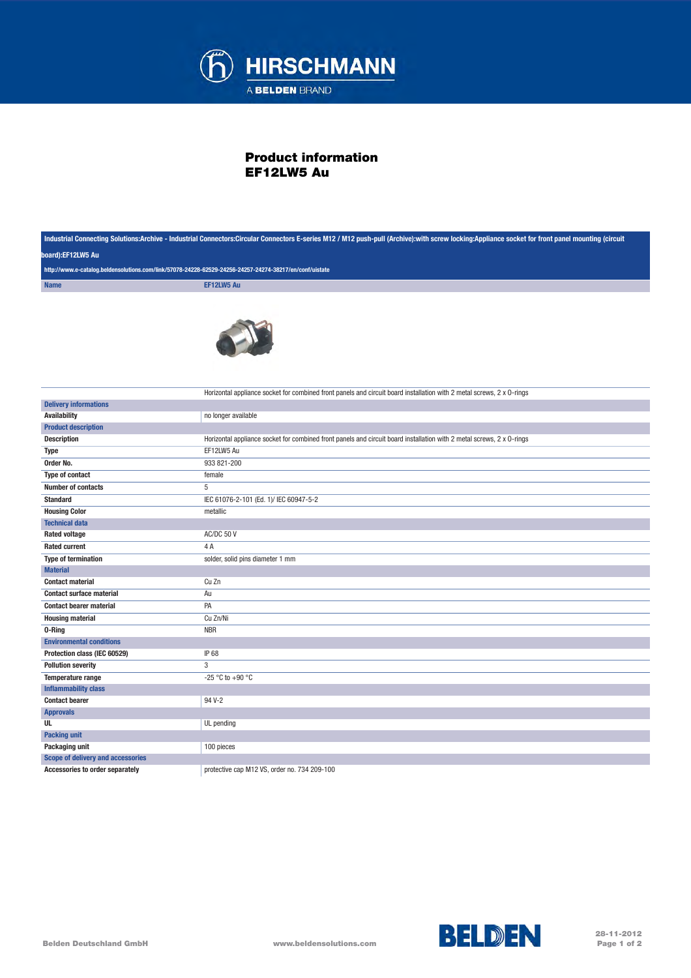

## Product information EF12LW5 Au

| Industrial Connecting Solutions:Archive - Industrial Connectors:Circular Connectors E-series M12 / M12 push-pull (Archive):with screw locking:Appliance socket for front panel mounting (circuit<br>board):EF12LW5 Au<br>http://www.e-catalog.beldensolutions.com/link/57078-24228-62529-24256-24257-24274-38217/en/conf/uistate |                                                                                                                       |             |            |
|----------------------------------------------------------------------------------------------------------------------------------------------------------------------------------------------------------------------------------------------------------------------------------------------------------------------------------|-----------------------------------------------------------------------------------------------------------------------|-------------|------------|
|                                                                                                                                                                                                                                                                                                                                  |                                                                                                                       | <b>Name</b> | EF12LW5 Au |
|                                                                                                                                                                                                                                                                                                                                  |                                                                                                                       |             |            |
|                                                                                                                                                                                                                                                                                                                                  |                                                                                                                       |             |            |
|                                                                                                                                                                                                                                                                                                                                  | Horizontal appliance socket for combined front panels and circuit board installation with 2 metal screws, 2 x 0-rings |             |            |
| <b>Delivery informations</b>                                                                                                                                                                                                                                                                                                     |                                                                                                                       |             |            |
| <b>Availability</b>                                                                                                                                                                                                                                                                                                              | no longer available                                                                                                   |             |            |
| <b>Product description</b>                                                                                                                                                                                                                                                                                                       |                                                                                                                       |             |            |
| <b>Description</b>                                                                                                                                                                                                                                                                                                               | Horizontal appliance socket for combined front panels and circuit board installation with 2 metal screws, 2 x 0-rings |             |            |
| Type                                                                                                                                                                                                                                                                                                                             | EF12LW5 Au                                                                                                            |             |            |
| Order No.                                                                                                                                                                                                                                                                                                                        | 933 821-200                                                                                                           |             |            |
| <b>Type of contact</b>                                                                                                                                                                                                                                                                                                           | female                                                                                                                |             |            |
| <b>Number of contacts</b>                                                                                                                                                                                                                                                                                                        | 5                                                                                                                     |             |            |
| <b>Standard</b>                                                                                                                                                                                                                                                                                                                  | IEC 61076-2-101 (Ed. 1)/ IEC 60947-5-2                                                                                |             |            |
| <b>Housing Color</b>                                                                                                                                                                                                                                                                                                             | metallic                                                                                                              |             |            |
| <b>Technical data</b>                                                                                                                                                                                                                                                                                                            |                                                                                                                       |             |            |
| <b>Rated voltage</b>                                                                                                                                                                                                                                                                                                             | AC/DC 50 V                                                                                                            |             |            |
| <b>Rated current</b>                                                                                                                                                                                                                                                                                                             | 4 A                                                                                                                   |             |            |
| <b>Type of termination</b>                                                                                                                                                                                                                                                                                                       | solder, solid pins diameter 1 mm                                                                                      |             |            |
| <b>Material</b>                                                                                                                                                                                                                                                                                                                  |                                                                                                                       |             |            |
| <b>Contact material</b>                                                                                                                                                                                                                                                                                                          | Cu Zn                                                                                                                 |             |            |
| <b>Contact surface material</b>                                                                                                                                                                                                                                                                                                  | Au                                                                                                                    |             |            |
| <b>Contact bearer material</b>                                                                                                                                                                                                                                                                                                   | PA                                                                                                                    |             |            |
| <b>Housing material</b>                                                                                                                                                                                                                                                                                                          | Cu Zn/Ni                                                                                                              |             |            |
| 0-Ring                                                                                                                                                                                                                                                                                                                           | <b>NBR</b>                                                                                                            |             |            |
| <b>Environmental conditions</b>                                                                                                                                                                                                                                                                                                  |                                                                                                                       |             |            |
| Protection class (IEC 60529)                                                                                                                                                                                                                                                                                                     | IP 68                                                                                                                 |             |            |
| <b>Pollution severity</b>                                                                                                                                                                                                                                                                                                        | 3                                                                                                                     |             |            |
| Temperature range                                                                                                                                                                                                                                                                                                                | -25 °C to +90 °C                                                                                                      |             |            |
| <b>Inflammability class</b>                                                                                                                                                                                                                                                                                                      |                                                                                                                       |             |            |
| <b>Contact bearer</b>                                                                                                                                                                                                                                                                                                            | 94 V-2                                                                                                                |             |            |
| <b>Approvals</b>                                                                                                                                                                                                                                                                                                                 |                                                                                                                       |             |            |
| UL                                                                                                                                                                                                                                                                                                                               | UL pending                                                                                                            |             |            |
| <b>Packing unit</b>                                                                                                                                                                                                                                                                                                              |                                                                                                                       |             |            |
| Packaging unit                                                                                                                                                                                                                                                                                                                   | 100 pieces                                                                                                            |             |            |
| <b>Scope of delivery and accessories</b>                                                                                                                                                                                                                                                                                         |                                                                                                                       |             |            |
| <b>Accessories to order separately</b>                                                                                                                                                                                                                                                                                           | protective cap M12 VS, order no. 734 209-100                                                                          |             |            |